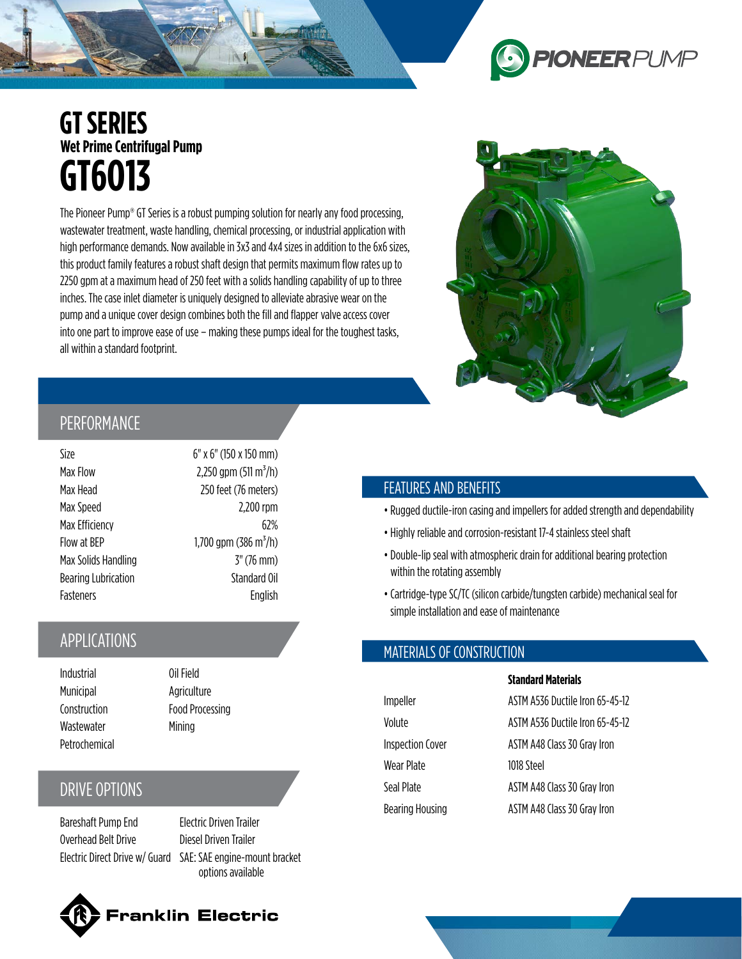# **PIONEERPUMP**

### **GT SERIES Wet Prime Centrifugal Pump GT6O13**

The Pioneer Pump® GT Series is a robust pumping solution for nearly any food processing, wastewater treatment, waste handling, chemical processing, or industrial application with high performance demands. Now available in 3x3 and 4x4 sizes in addition to the 6x6 sizes, this product family features a robust shaft design that permits maximum flow rates up to 2250 gpm at a maximum head of 250 feet with a solids handling capability of up to three inches. The case inlet diameter is uniquely designed to alleviate abrasive wear on the pump and a unique cover design combines both the fill and flapper valve access cover into one part to improve ease of use – making these pumps ideal for the toughest tasks, all within a standard footprint.



### PERFORMANCE

| Size                       | 6" x 6" (150 x 150 mm)            |
|----------------------------|-----------------------------------|
| Max Flow                   | 2,250 gpm (511 m <sup>3</sup> /h) |
| Max Head                   | 250 feet (76 meters)              |
| Max Speed                  | 2,200 rpm                         |
| Max Efficiency             | 62%                               |
| Flow at BEP                | 1,700 gpm (386 m <sup>3</sup> /h) |
| Max Solids Handling        | $3''$ (76 mm)                     |
| <b>Bearing Lubrication</b> | Standard Oil                      |
| Fasteners                  | English                           |

 $2,250$  gpm (511 m<sup>3</sup>/h) 250 feet (76 meters) 2,200 rpm 1,700 gpm (386 m<sup>3</sup>/h)  $3"$  (76 mm) Standard Oil English

Size 6" x 6" (150 x 150 mm)

### APPLICATIONS

Industrial Oil Field Municipal Agriculture Wastewater Mining Petrochemical

Construction Food Processing

### DRIVE OPTIONS

Bareshaft Pump End Electric Driven Trailer Overhead Belt Drive Diesel Driven Trailer

Electric Direct Drive w/ Guard SAE: SAE engine-mount bracket options available

## anklin Electric<sup>.</sup>

### FEATURES AND BENEFITS

- •Rugged ductile-iron casing and impellers for added strength and dependability
- Highly reliable and corrosion-resistant 17-4 stainless steel shaft
- Double-lip seal with atmospheric drain for additional bearing protection within the rotating assembly
- Cartridge-type SC/TC (silicon carbide/tungsten carbide) mechanical seal for simple installation and ease of maintenance

**Standard Materials**

### MATERIALS OF CONSTRUCTION

|                         | Standard Materials              |
|-------------------------|---------------------------------|
| Impeller                | ASTM A536 Ductile Iron 65-45-12 |
| Volute                  | ASTM A536 Ductile Iron 65-45-12 |
| <b>Inspection Cover</b> | ASTM A48 Class 30 Gray Iron     |
| Wear Plate              | 1018 Steel                      |
| Seal Plate              | ASTM A48 Class 30 Gray Iron     |
| Bearing Housing         | ASTM A48 Class 30 Gray Iron     |